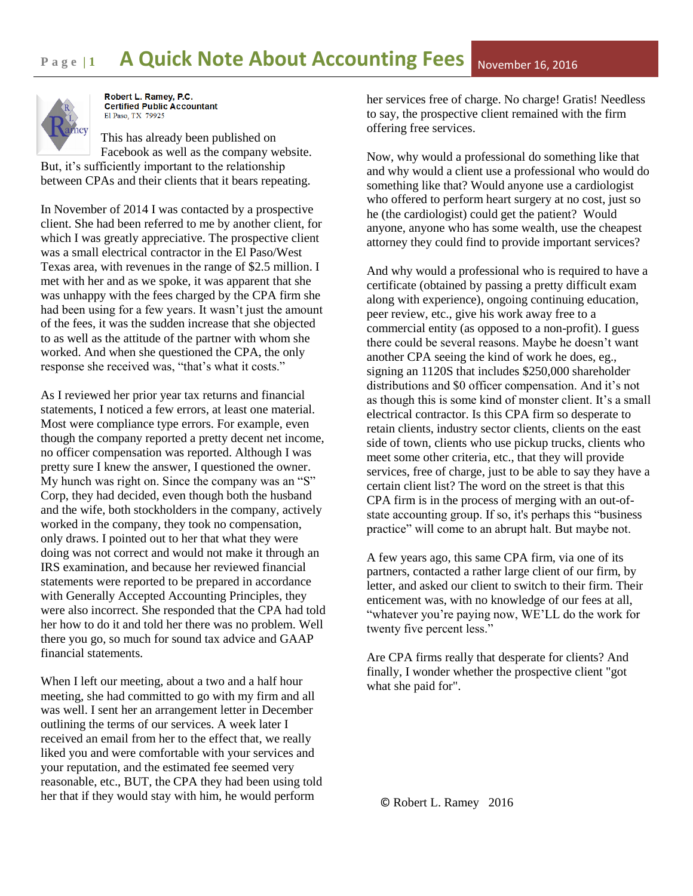## **Page 11 • A Quick Note About Accounting Fees** November 16, 2016



Robert L. Ramev. P.C. **Certified Public Accountant** El Paso, TX 79925

This has already been published on Facebook as well as the company website. But, it's sufficiently important to the relationship between CPAs and their clients that it bears repeating.

In November of 2014 I was contacted by a prospective client. She had been referred to me by another client, for which I was greatly appreciative. The prospective client was a small electrical contractor in the El Paso/West Texas area, with revenues in the range of \$2.5 million. I met with her and as we spoke, it was apparent that she was unhappy with the fees charged by the CPA firm she had been using for a few years. It wasn't just the amount of the fees, it was the sudden increase that she objected to as well as the attitude of the partner with whom she worked. And when she questioned the CPA, the only response she received was, "that's what it costs."

As I reviewed her prior year tax returns and financial statements, I noticed a few errors, at least one material. Most were compliance type errors. For example, even though the company reported a pretty decent net income, no officer compensation was reported. Although I was pretty sure I knew the answer, I questioned the owner. My hunch was right on. Since the company was an "S" Corp, they had decided, even though both the husband and the wife, both stockholders in the company, actively worked in the company, they took no compensation, only draws. I pointed out to her that what they were doing was not correct and would not make it through an IRS examination, and because her reviewed financial statements were reported to be prepared in accordance with Generally Accepted Accounting Principles, they were also incorrect. She responded that the CPA had told her how to do it and told her there was no problem. Well there you go, so much for sound tax advice and GAAP financial statements.

When I left our meeting, about a two and a half hour meeting, she had committed to go with my firm and all was well. I sent her an arrangement letter in December outlining the terms of our services. A week later I received an email from her to the effect that, we really liked you and were comfortable with your services and your reputation, and the estimated fee seemed very reasonable, etc., BUT, the CPA they had been using told her that if they would stay with him, he would perform

her services free of charge. No charge! Gratis! Needless to say, the prospective client remained with the firm offering free services.

Now, why would a professional do something like that and why would a client use a professional who would do something like that? Would anyone use a cardiologist who offered to perform heart surgery at no cost, just so he (the cardiologist) could get the patient? Would anyone, anyone who has some wealth, use the cheapest attorney they could find to provide important services?

And why would a professional who is required to have a certificate (obtained by passing a pretty difficult exam along with experience), ongoing continuing education, peer review, etc., give his work away free to a commercial entity (as opposed to a non-profit). I guess there could be several reasons. Maybe he doesn't want another CPA seeing the kind of work he does, eg., signing an 1120S that includes \$250,000 shareholder distributions and \$0 officer compensation. And it's not as though this is some kind of monster client. It's a small electrical contractor. Is this CPA firm so desperate to retain clients, industry sector clients, clients on the east side of town, clients who use pickup trucks, clients who meet some other criteria, etc., that they will provide services, free of charge, just to be able to say they have a certain client list? The word on the street is that this CPA firm is in the process of merging with an out-ofstate accounting group. If so, it's perhaps this "business practice" will come to an abrupt halt. But maybe not.

A few years ago, this same CPA firm, via one of its partners, contacted a rather large client of our firm, by letter, and asked our client to switch to their firm. Their enticement was, with no knowledge of our fees at all, "whatever you're paying now, WE'LL do the work for twenty five percent less."

Are CPA firms really that desperate for clients? And finally, I wonder whether the prospective client "got what she paid for".

© Robert L. Ramey 2016